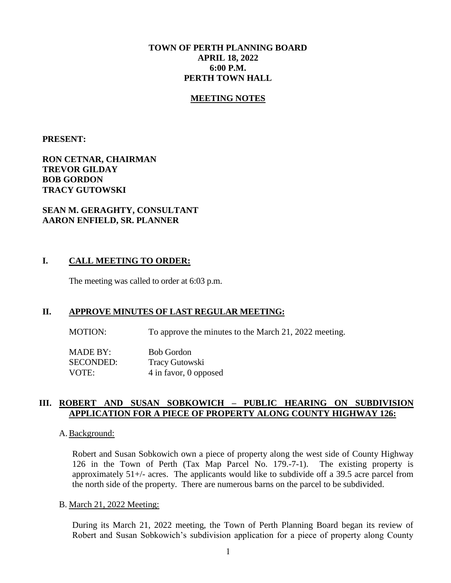## **TOWN OF PERTH PLANNING BOARD APRIL 18, 2022 6:00 P.M. PERTH TOWN HALL**

#### **MEETING NOTES**

**PRESENT:**

## **RON CETNAR, CHAIRMAN TREVOR GILDAY BOB GORDON TRACY GUTOWSKI**

#### **SEAN M. GERAGHTY, CONSULTANT AARON ENFIELD, SR. PLANNER**

#### **I. CALL MEETING TO ORDER:**

The meeting was called to order at 6:03 p.m.

## **II. APPROVE MINUTES OF LAST REGULAR MEETING:**

MOTION: To approve the minutes to the March 21, 2022 meeting.

MADE BY: Bob Gordon SECONDED: Tracy Gutowski VOTE: 4 in favor, 0 opposed

#### **III. ROBERT AND SUSAN SOBKOWICH – PUBLIC HEARING ON SUBDIVISION APPLICATION FOR A PIECE OF PROPERTY ALONG COUNTY HIGHWAY 126:**

#### A. Background:

Robert and Susan Sobkowich own a piece of property along the west side of County Highway 126 in the Town of Perth (Tax Map Parcel No. 179.-7-1). The existing property is approximately 51+/- acres. The applicants would like to subdivide off a 39.5 acre parcel from the north side of the property. There are numerous barns on the parcel to be subdivided.

#### B. March 21, 2022 Meeting:

During its March 21, 2022 meeting, the Town of Perth Planning Board began its review of Robert and Susan Sobkowich's subdivision application for a piece of property along County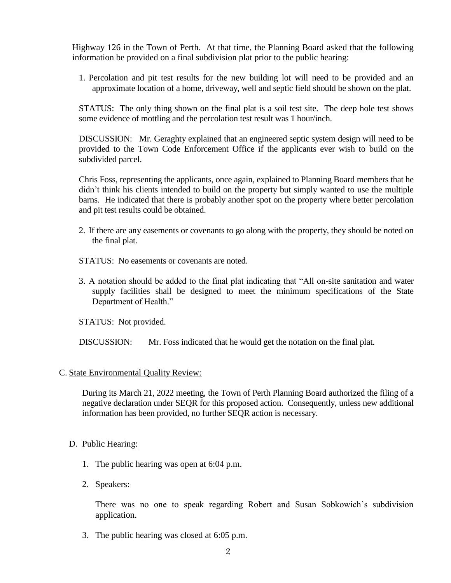Highway 126 in the Town of Perth. At that time, the Planning Board asked that the following information be provided on a final subdivision plat prior to the public hearing:

1. Percolation and pit test results for the new building lot will need to be provided and an approximate location of a home, driveway, well and septic field should be shown on the plat.

STATUS: The only thing shown on the final plat is a soil test site. The deep hole test shows some evidence of mottling and the percolation test result was 1 hour/inch.

DISCUSSION: Mr. Geraghty explained that an engineered septic system design will need to be provided to the Town Code Enforcement Office if the applicants ever wish to build on the subdivided parcel.

Chris Foss, representing the applicants, once again, explained to Planning Board members that he didn't think his clients intended to build on the property but simply wanted to use the multiple barns. He indicated that there is probably another spot on the property where better percolation and pit test results could be obtained.

- 2. If there are any easements or covenants to go along with the property, they should be noted on the final plat.
- STATUS: No easements or covenants are noted.
- 3. A notation should be added to the final plat indicating that "All on-site sanitation and water supply facilities shall be designed to meet the minimum specifications of the State Department of Health."

STATUS: Not provided.

DISCUSSION: Mr. Foss indicated that he would get the notation on the final plat.

## C. State Environmental Quality Review:

During its March 21, 2022 meeting, the Town of Perth Planning Board authorized the filing of a negative declaration under SEQR for this proposed action. Consequently, unless new additional information has been provided, no further SEQR action is necessary.

## D. Public Hearing:

- 1. The public hearing was open at 6:04 p.m.
- 2. Speakers:

There was no one to speak regarding Robert and Susan Sobkowich's subdivision application.

3. The public hearing was closed at 6:05 p.m.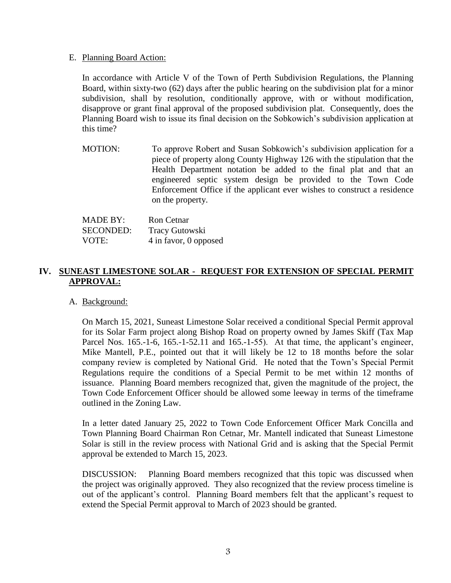#### E. Planning Board Action:

In accordance with Article V of the Town of Perth Subdivision Regulations, the Planning Board, within sixty-two (62) days after the public hearing on the subdivision plat for a minor subdivision, shall by resolution, conditionally approve, with or without modification, disapprove or grant final approval of the proposed subdivision plat. Consequently, does the Planning Board wish to issue its final decision on the Sobkowich's subdivision application at this time?

MOTION: To approve Robert and Susan Sobkowich's subdivision application for a piece of property along County Highway 126 with the stipulation that the Health Department notation be added to the final plat and that an engineered septic system design be provided to the Town Code Enforcement Office if the applicant ever wishes to construct a residence on the property.

| <b>MADE BY:</b>  | <b>Ron</b> Cetnar     |
|------------------|-----------------------|
| <b>SECONDED:</b> | <b>Tracy Gutowski</b> |
| VOTE:            | 4 in favor, 0 opposed |

## **IV. SUNEAST LIMESTONE SOLAR - REQUEST FOR EXTENSION OF SPECIAL PERMIT APPROVAL:**

## A. Background:

On March 15, 2021, Suneast Limestone Solar received a conditional Special Permit approval for its Solar Farm project along Bishop Road on property owned by James Skiff (Tax Map Parcel Nos. 165.-1-6, 165.-1-52.11 and 165.-1-55). At that time, the applicant's engineer, Mike Mantell, P.E., pointed out that it will likely be 12 to 18 months before the solar company review is completed by National Grid. He noted that the Town's Special Permit Regulations require the conditions of a Special Permit to be met within 12 months of issuance. Planning Board members recognized that, given the magnitude of the project, the Town Code Enforcement Officer should be allowed some leeway in terms of the timeframe outlined in the Zoning Law.

In a letter dated January 25, 2022 to Town Code Enforcement Officer Mark Concilla and Town Planning Board Chairman Ron Cetnar, Mr. Mantell indicated that Suneast Limestone Solar is still in the review process with National Grid and is asking that the Special Permit approval be extended to March 15, 2023.

DISCUSSION: Planning Board members recognized that this topic was discussed when the project was originally approved. They also recognized that the review process timeline is out of the applicant's control. Planning Board members felt that the applicant's request to extend the Special Permit approval to March of 2023 should be granted.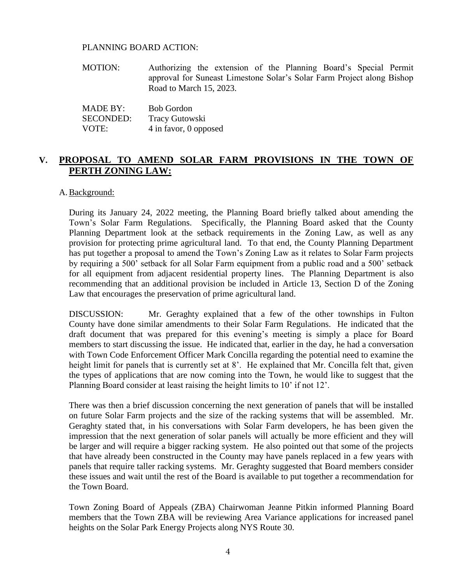#### PLANNING BOARD ACTION:

MOTION: Authorizing the extension of the Planning Board's Special Permit approval for Suneast Limestone Solar's Solar Farm Project along Bishop Road to March 15, 2023.

| <b>MADE BY:</b>  | <b>Bob Gordon</b>     |
|------------------|-----------------------|
| <b>SECONDED:</b> | <b>Tracy Gutowski</b> |
| VOTE:            | 4 in favor, 0 opposed |

## **V. PROPOSAL TO AMEND SOLAR FARM PROVISIONS IN THE TOWN OF PERTH ZONING LAW:**

#### A. Background:

During its January 24, 2022 meeting, the Planning Board briefly talked about amending the Town's Solar Farm Regulations. Specifically, the Planning Board asked that the County Planning Department look at the setback requirements in the Zoning Law, as well as any provision for protecting prime agricultural land. To that end, the County Planning Department has put together a proposal to amend the Town's Zoning Law as it relates to Solar Farm projects by requiring a 500' setback for all Solar Farm equipment from a public road and a 500' setback for all equipment from adjacent residential property lines. The Planning Department is also recommending that an additional provision be included in Article 13, Section D of the Zoning Law that encourages the preservation of prime agricultural land.

DISCUSSION: Mr. Geraghty explained that a few of the other townships in Fulton County have done similar amendments to their Solar Farm Regulations. He indicated that the draft document that was prepared for this evening's meeting is simply a place for Board members to start discussing the issue. He indicated that, earlier in the day, he had a conversation with Town Code Enforcement Officer Mark Concilla regarding the potential need to examine the height limit for panels that is currently set at 8'. He explained that Mr. Concilla felt that, given the types of applications that are now coming into the Town, he would like to suggest that the Planning Board consider at least raising the height limits to 10' if not 12'.

There was then a brief discussion concerning the next generation of panels that will be installed on future Solar Farm projects and the size of the racking systems that will be assembled. Mr. Geraghty stated that, in his conversations with Solar Farm developers, he has been given the impression that the next generation of solar panels will actually be more efficient and they will be larger and will require a bigger racking system. He also pointed out that some of the projects that have already been constructed in the County may have panels replaced in a few years with panels that require taller racking systems. Mr. Geraghty suggested that Board members consider these issues and wait until the rest of the Board is available to put together a recommendation for the Town Board.

Town Zoning Board of Appeals (ZBA) Chairwoman Jeanne Pitkin informed Planning Board members that the Town ZBA will be reviewing Area Variance applications for increased panel heights on the Solar Park Energy Projects along NYS Route 30.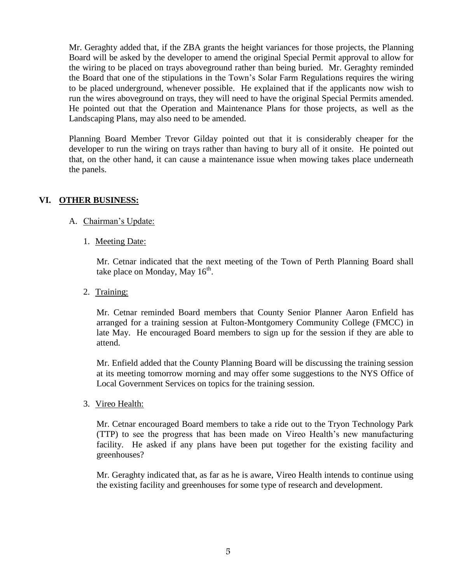Mr. Geraghty added that, if the ZBA grants the height variances for those projects, the Planning Board will be asked by the developer to amend the original Special Permit approval to allow for the wiring to be placed on trays aboveground rather than being buried. Mr. Geraghty reminded the Board that one of the stipulations in the Town's Solar Farm Regulations requires the wiring to be placed underground, whenever possible. He explained that if the applicants now wish to run the wires aboveground on trays, they will need to have the original Special Permits amended. He pointed out that the Operation and Maintenance Plans for those projects, as well as the Landscaping Plans, may also need to be amended.

Planning Board Member Trevor Gilday pointed out that it is considerably cheaper for the developer to run the wiring on trays rather than having to bury all of it onsite. He pointed out that, on the other hand, it can cause a maintenance issue when mowing takes place underneath the panels.

## **VI. OTHER BUSINESS:**

- A. Chairman's Update:
	- 1. Meeting Date:

Mr. Cetnar indicated that the next meeting of the Town of Perth Planning Board shall take place on Monday, May  $16^{\text{th}}$ .

2. Training:

Mr. Cetnar reminded Board members that County Senior Planner Aaron Enfield has arranged for a training session at Fulton-Montgomery Community College (FMCC) in late May. He encouraged Board members to sign up for the session if they are able to attend.

Mr. Enfield added that the County Planning Board will be discussing the training session at its meeting tomorrow morning and may offer some suggestions to the NYS Office of Local Government Services on topics for the training session.

3. Vireo Health:

Mr. Cetnar encouraged Board members to take a ride out to the Tryon Technology Park (TTP) to see the progress that has been made on Vireo Health's new manufacturing facility. He asked if any plans have been put together for the existing facility and greenhouses?

Mr. Geraghty indicated that, as far as he is aware, Vireo Health intends to continue using the existing facility and greenhouses for some type of research and development.